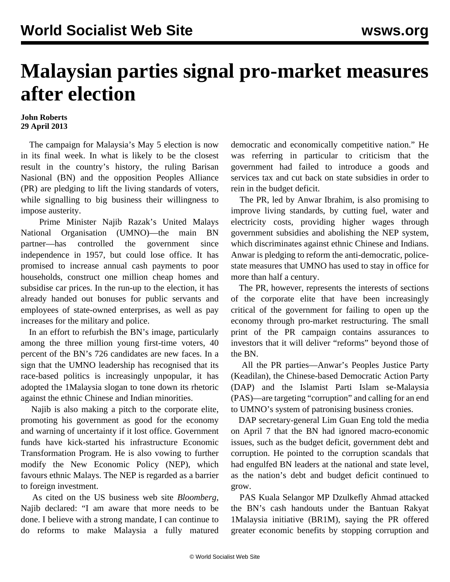## **Malaysian parties signal pro-market measures after election**

## **John Roberts 29 April 2013**

 The campaign for Malaysia's May 5 election is now in its final week. In what is likely to be the closest result in the country's history, the ruling Barisan Nasional (BN) and the opposition Peoples Alliance (PR) are pledging to lift the living standards of voters, while signalling to big business their willingness to impose austerity.

 Prime Minister Najib Razak's United Malays National Organisation (UMNO)—the main BN partner—has controlled the government since independence in 1957, but could lose office. It has promised to increase annual cash payments to poor households, construct one million cheap homes and subsidise car prices. In the run-up to the election, it has already handed out bonuses for public servants and employees of state-owned enterprises, as well as pay increases for the military and police.

 In an effort to refurbish the BN's image, particularly among the three million young first-time voters, 40 percent of the BN's 726 candidates are new faces. In a sign that the UMNO leadership has recognised that its race-based politics is increasingly unpopular, it has adopted the 1Malaysia slogan to tone down its rhetoric against the ethnic Chinese and Indian minorities.

 Najib is also making a pitch to the corporate elite, promoting his government as good for the economy and warning of uncertainty if it lost office. Government funds have kick-started his infrastructure Economic Transformation Program. He is also vowing to further modify the New Economic Policy (NEP), which favours ethnic Malays. The NEP is regarded as a barrier to foreign investment.

 As cited on the US business web site *Bloomberg*, Najib declared: "I am aware that more needs to be done. I believe with a strong mandate, I can continue to do reforms to make Malaysia a fully matured democratic and economically competitive nation." He was referring in particular to criticism that the government had failed to introduce a goods and services tax and cut back on state subsidies in order to rein in the budget deficit.

 The PR, led by Anwar Ibrahim, is also promising to improve living standards, by cutting fuel, water and electricity costs, providing higher wages through government subsidies and abolishing the NEP system, which discriminates against ethnic Chinese and Indians. Anwar is pledging to reform the anti-democratic, policestate measures that UMNO has used to stay in office for more than half a century.

 The PR, however, represents the interests of sections of the corporate elite that have been increasingly critical of the government for failing to open up the economy through pro-market restructuring. The small print of the PR campaign contains assurances to investors that it will deliver "reforms" beyond those of the BN.

 All the PR parties—Anwar's Peoples Justice Party (Keadilan), the Chinese-based Democratic Action Party (DAP) and the Islamist Parti Islam se-Malaysia (PAS)—are targeting "corruption" and calling for an end to UMNO's system of patronising business cronies.

 DAP secretary-general Lim Guan Eng told the media on April 7 that the BN had ignored macro-economic issues, such as the budget deficit, government debt and corruption. He pointed to the corruption scandals that had engulfed BN leaders at the national and state level, as the nation's debt and budget deficit continued to grow.

 PAS Kuala Selangor MP Dzulkefly Ahmad attacked the BN's cash handouts under the Bantuan Rakyat 1Malaysia initiative (BR1M), saying the PR offered greater economic benefits by stopping corruption and